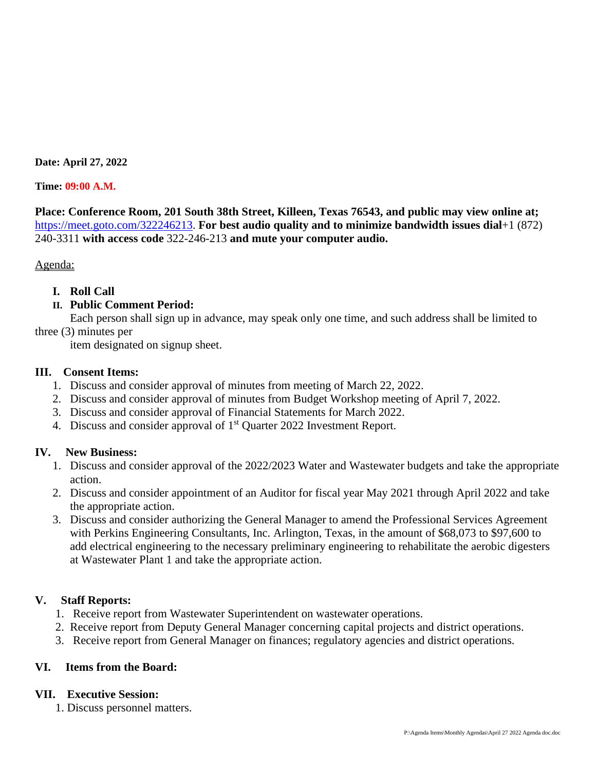#### **Date: April 27, 2022**

#### **Time: 09:00 A.M.**

**Place: Conference Room, 201 South 38th Street, Killeen, Texas 76543, and public may view online at;** [https://meet.goto.com/322246213.](https://meet.goto.com/322246213) **For best audio quality and to minimize bandwidth issues dial**+1 (872) 240-3311 **with access code** 322-246-213 **and mute your computer audio.**

### Agenda:

## **I. Roll Call**

## **II. Public Comment Period:**

Each person shall sign up in advance, may speak only one time, and such address shall be limited to

three (3) minutes per

item designated on signup sheet.

### **III. Consent Items:**

- 1. Discuss and consider approval of minutes from meeting of March 22, 2022.
- 2. Discuss and consider approval of minutes from Budget Workshop meeting of April 7, 2022.
- 3. Discuss and consider approval of Financial Statements for March 2022.
- 4. Discuss and consider approval of 1<sup>st</sup> Quarter 2022 Investment Report.

### **IV. New Business:**

- 1. Discuss and consider approval of the 2022/2023 Water and Wastewater budgets and take the appropriate action.
- 2. Discuss and consider appointment of an Auditor for fiscal year May 2021 through April 2022 and take the appropriate action.
- 3. Discuss and consider authorizing the General Manager to amend the Professional Services Agreement with Perkins Engineering Consultants, Inc. Arlington, Texas, in the amount of \$68,073 to \$97,600 to add electrical engineering to the necessary preliminary engineering to rehabilitate the aerobic digesters at Wastewater Plant 1 and take the appropriate action.

# **V. Staff Reports:**

- 1. Receive report from Wastewater Superintendent on wastewater operations.
- 2. Receive report from Deputy General Manager concerning capital projects and district operations.
- 3. Receive report from General Manager on finances; regulatory agencies and district operations.

# **VI. Items from the Board:**

### **VII. Executive Session:**

1. Discuss personnel matters.